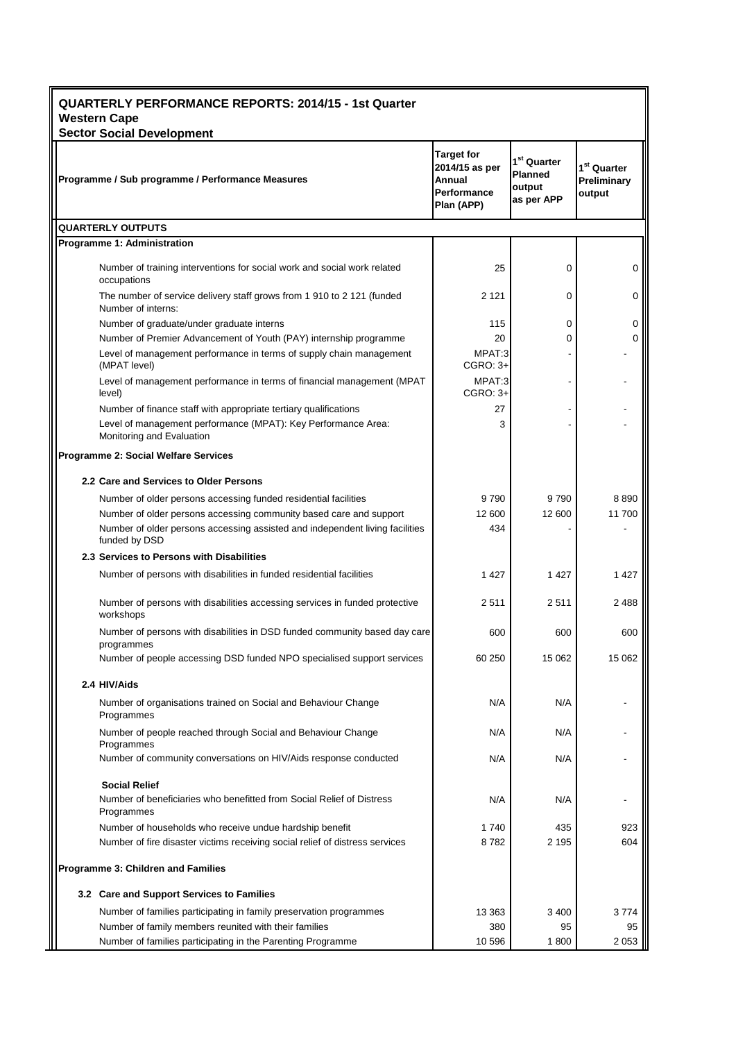| <b>QUARTERLY PERFORMANCE REPORTS: 2014/15 - 1st Quarter</b><br><b>Western Cape</b>                                                                             |                                                                            |                                                                   |                                        |  |  |
|----------------------------------------------------------------------------------------------------------------------------------------------------------------|----------------------------------------------------------------------------|-------------------------------------------------------------------|----------------------------------------|--|--|
| <b>Sector Social Development</b><br>Programme / Sub programme / Performance Measures                                                                           | <b>Target for</b><br>2014/15 as per<br>Annual<br>Performance<br>Plan (APP) | 1 <sup>st</sup> Quarter<br><b>Planned</b><br>output<br>as per APP | $1st$ Quarter<br>Preliminary<br>output |  |  |
| <b>QUARTERLY OUTPUTS</b>                                                                                                                                       |                                                                            |                                                                   |                                        |  |  |
| Programme 1: Administration                                                                                                                                    |                                                                            |                                                                   |                                        |  |  |
| Number of training interventions for social work and social work related<br>occupations                                                                        | 25                                                                         | 0                                                                 | 0                                      |  |  |
| The number of service delivery staff grows from 1 910 to 2 121 (funded<br>Number of interns:                                                                   | 2 1 2 1                                                                    | $\Omega$                                                          | 0                                      |  |  |
| Number of graduate/under graduate interns                                                                                                                      | 115                                                                        | $\Omega$                                                          | 0                                      |  |  |
| Number of Premier Advancement of Youth (PAY) internship programme                                                                                              | 20                                                                         | 0                                                                 | 0                                      |  |  |
| Level of management performance in terms of supply chain management<br>(MPAT level)                                                                            | MPAT:3<br>CGRO: 3+                                                         |                                                                   |                                        |  |  |
| Level of management performance in terms of financial management (MPAT<br>level)                                                                               | MPAT:3<br>$CGRO: 3+$                                                       |                                                                   |                                        |  |  |
| Number of finance staff with appropriate tertiary qualifications<br>Level of management performance (MPAT): Key Performance Area:<br>Monitoring and Evaluation | 27<br>3                                                                    |                                                                   |                                        |  |  |
| Programme 2: Social Welfare Services                                                                                                                           |                                                                            |                                                                   |                                        |  |  |
| 2.2 Care and Services to Older Persons                                                                                                                         |                                                                            |                                                                   |                                        |  |  |
| Number of older persons accessing funded residential facilities                                                                                                | 9790                                                                       | 9790                                                              | 8890                                   |  |  |
| Number of older persons accessing community based care and support                                                                                             | 12 600                                                                     | 12 600                                                            | 11700                                  |  |  |
| Number of older persons accessing assisted and independent living facilities<br>funded by DSD                                                                  | 434                                                                        |                                                                   |                                        |  |  |
| 2.3 Services to Persons with Disabilities                                                                                                                      |                                                                            |                                                                   |                                        |  |  |
| Number of persons with disabilities in funded residential facilities                                                                                           | 1 4 2 7                                                                    | 1 4 2 7                                                           | 1 4 2 7                                |  |  |
| Number of persons with disabilities accessing services in funded protective<br>workshops                                                                       | 2511                                                                       | 2511                                                              | 2 4 8 8                                |  |  |
| Number of persons with disabilities in DSD funded community based day care<br>programmes                                                                       | 600                                                                        | 600                                                               | 600                                    |  |  |
| Number of people accessing DSD funded NPO specialised support services                                                                                         | 60 250                                                                     | 15 062                                                            | 15 062                                 |  |  |
| 2.4 HIV/Aids                                                                                                                                                   |                                                                            |                                                                   |                                        |  |  |
| Number of organisations trained on Social and Behaviour Change<br>Programmes                                                                                   | N/A                                                                        | N/A                                                               |                                        |  |  |
| Number of people reached through Social and Behaviour Change<br>Programmes                                                                                     | N/A                                                                        | N/A                                                               |                                        |  |  |
| Number of community conversations on HIV/Aids response conducted                                                                                               | N/A                                                                        | N/A                                                               |                                        |  |  |
| <b>Social Relief</b>                                                                                                                                           |                                                                            |                                                                   |                                        |  |  |
| Number of beneficiaries who benefitted from Social Relief of Distress<br>Programmes                                                                            | N/A                                                                        | N/A                                                               |                                        |  |  |
| Number of households who receive undue hardship benefit<br>Number of fire disaster victims receiving social relief of distress services                        | 1740<br>8782                                                               | 435<br>2 195                                                      | 923<br>604                             |  |  |
| Programme 3: Children and Families                                                                                                                             |                                                                            |                                                                   |                                        |  |  |
| 3.2 Care and Support Services to Families                                                                                                                      |                                                                            |                                                                   |                                        |  |  |
| Number of families participating in family preservation programmes                                                                                             | 13 3 63                                                                    | 3400                                                              | 3774                                   |  |  |
| Number of family members reunited with their families                                                                                                          | 380                                                                        | 95                                                                | 95                                     |  |  |
| Number of families participating in the Parenting Programme                                                                                                    | 10 596                                                                     | 1800                                                              | 2 0 5 3                                |  |  |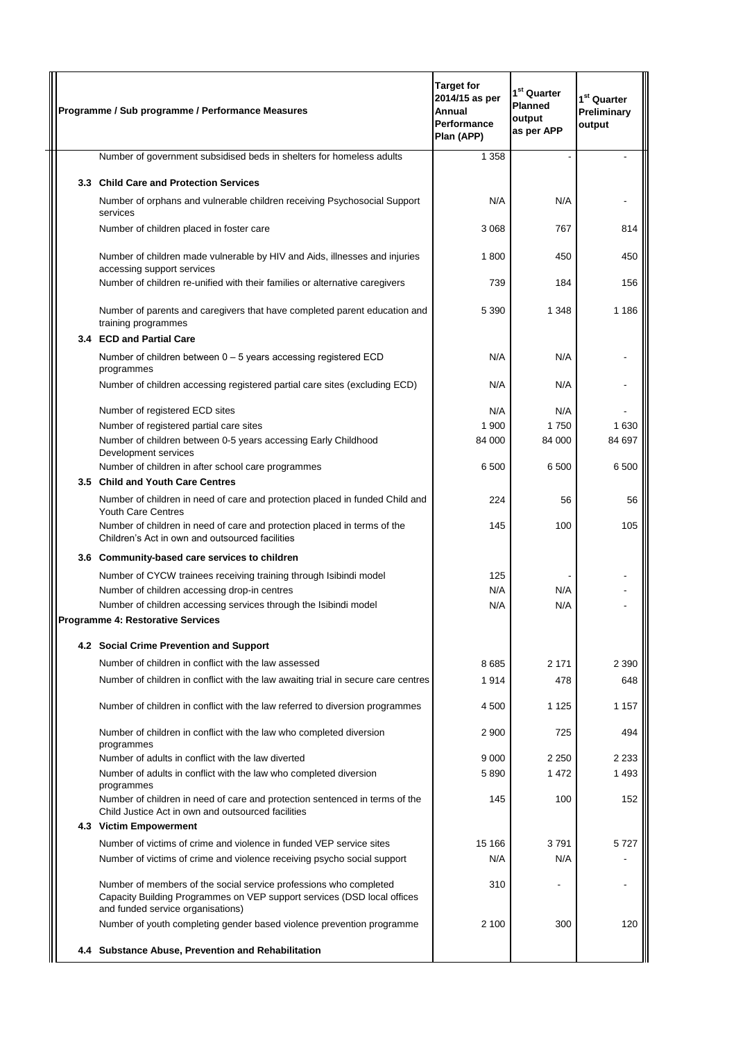|  | Programme / Sub programme / Performance Measures                                                                                                                                  | <b>Target for</b><br>2014/15 as per<br>Annual<br>Performance<br>Plan (APP) | $1st$ Quarter<br><b>Planned</b><br>output<br>as per APP | 1 <sup>st</sup> Quarter<br>Preliminary<br>output |
|--|-----------------------------------------------------------------------------------------------------------------------------------------------------------------------------------|----------------------------------------------------------------------------|---------------------------------------------------------|--------------------------------------------------|
|  | Number of government subsidised beds in shelters for homeless adults                                                                                                              | 1 3 5 8                                                                    |                                                         |                                                  |
|  | 3.3 Child Care and Protection Services                                                                                                                                            |                                                                            |                                                         |                                                  |
|  | Number of orphans and vulnerable children receiving Psychosocial Support<br>services                                                                                              | N/A                                                                        | N/A                                                     |                                                  |
|  | Number of children placed in foster care                                                                                                                                          | 3 0 6 8                                                                    | 767                                                     | 814                                              |
|  | Number of children made vulnerable by HIV and Aids, illnesses and injuries<br>accessing support services                                                                          | 1800                                                                       | 450                                                     | 450                                              |
|  | Number of children re-unified with their families or alternative caregivers                                                                                                       | 739                                                                        | 184                                                     | 156                                              |
|  | Number of parents and caregivers that have completed parent education and<br>training programmes                                                                                  | 5 3 9 0                                                                    | 1 3 4 8                                                 | 1 1 8 6                                          |
|  | 3.4 ECD and Partial Care                                                                                                                                                          |                                                                            |                                                         |                                                  |
|  | Number of children between $0 - 5$ years accessing registered ECD<br>programmes                                                                                                   | N/A                                                                        | N/A                                                     |                                                  |
|  | Number of children accessing registered partial care sites (excluding ECD)                                                                                                        | N/A                                                                        | N/A                                                     |                                                  |
|  | Number of registered ECD sites                                                                                                                                                    | N/A                                                                        | N/A                                                     |                                                  |
|  | Number of registered partial care sites                                                                                                                                           | 1 900                                                                      | 1750                                                    | 1 6 3 0                                          |
|  | Number of children between 0-5 years accessing Early Childhood<br>Development services                                                                                            | 84 000                                                                     | 84 000                                                  | 84 697                                           |
|  | Number of children in after school care programmes<br>3.5 Child and Youth Care Centres                                                                                            | 6 500                                                                      | 6 500                                                   | 6 500                                            |
|  | Number of children in need of care and protection placed in funded Child and<br><b>Youth Care Centres</b>                                                                         | 224                                                                        | 56                                                      | 56                                               |
|  | Number of children in need of care and protection placed in terms of the<br>Children's Act in own and outsourced facilities                                                       | 145                                                                        | 100                                                     | 105                                              |
|  | 3.6 Community-based care services to children                                                                                                                                     |                                                                            |                                                         |                                                  |
|  | Number of CYCW trainees receiving training through Isibindi model                                                                                                                 | 125                                                                        |                                                         |                                                  |
|  | Number of children accessing drop-in centres                                                                                                                                      | N/A                                                                        | N/A                                                     |                                                  |
|  | Number of children accessing services through the Isibindi model                                                                                                                  | N/A                                                                        | N/A                                                     |                                                  |
|  | <b>Programme 4: Restorative Services</b>                                                                                                                                          |                                                                            |                                                         |                                                  |
|  | 4.2 Social Crime Prevention and Support                                                                                                                                           |                                                                            |                                                         |                                                  |
|  | Number of children in conflict with the law assessed                                                                                                                              | 8685                                                                       | 2 1 7 1                                                 | 2 3 9 0                                          |
|  | Number of children in conflict with the law awaiting trial in secure care centres                                                                                                 | 1914                                                                       | 478                                                     | 648                                              |
|  | Number of children in conflict with the law referred to diversion programmes                                                                                                      | 4 500                                                                      | 1 1 2 5                                                 | 1 1 5 7                                          |
|  | Number of children in conflict with the law who completed diversion<br>programmes                                                                                                 | 2 9 0 0                                                                    | 725                                                     | 494                                              |
|  | Number of adults in conflict with the law diverted                                                                                                                                | 9 0 0 0                                                                    | 2 2 5 0                                                 | 2 2 3 3                                          |
|  | Number of adults in conflict with the law who completed diversion<br>programmes                                                                                                   | 5890                                                                       | 1472                                                    | 1 4 9 3                                          |
|  | Number of children in need of care and protection sentenced in terms of the<br>Child Justice Act in own and outsourced facilities                                                 | 145                                                                        | 100                                                     | 152                                              |
|  | 4.3 Victim Empowerment                                                                                                                                                            |                                                                            |                                                         |                                                  |
|  | Number of victims of crime and violence in funded VEP service sites                                                                                                               | 15 166                                                                     | 3791                                                    | 5727                                             |
|  | Number of victims of crime and violence receiving psycho social support                                                                                                           | N/A                                                                        | N/A                                                     |                                                  |
|  | Number of members of the social service professions who completed<br>Capacity Building Programmes on VEP support services (DSD local offices<br>and funded service organisations) | 310                                                                        |                                                         |                                                  |
|  | Number of youth completing gender based violence prevention programme                                                                                                             | 2 100                                                                      | 300                                                     | 120                                              |
|  | 4.4 Substance Abuse, Prevention and Rehabilitation                                                                                                                                |                                                                            |                                                         |                                                  |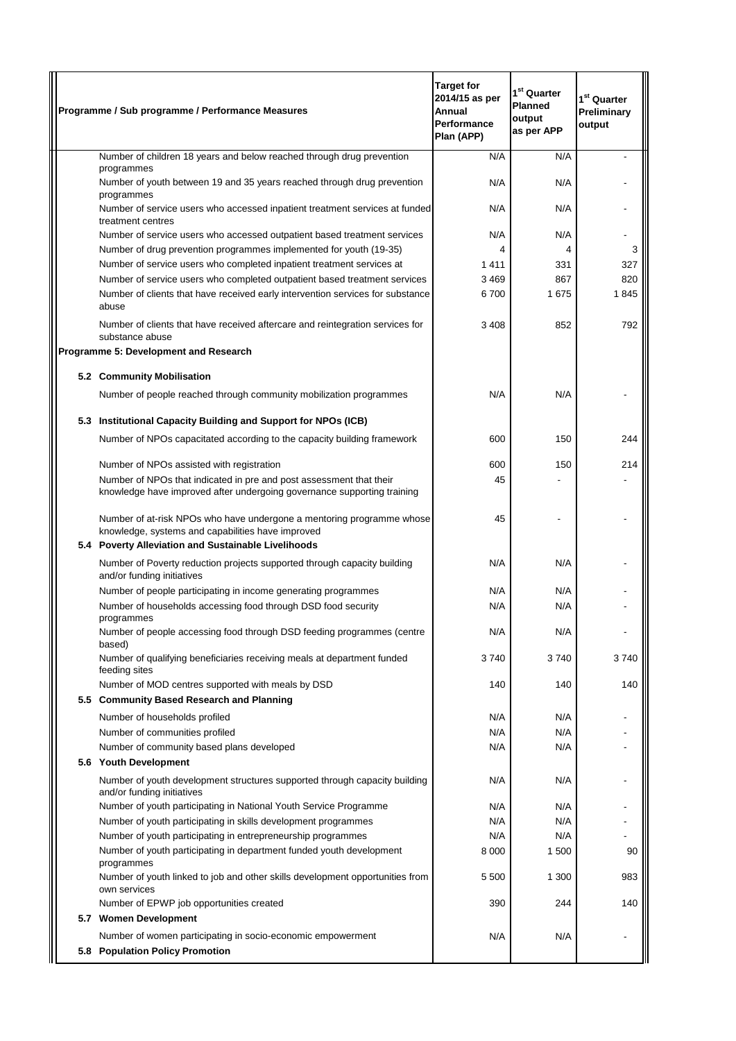| Programme / Sub programme / Performance Measures                                                                                               | <b>Target for</b><br>2014/15 as per<br>Annual<br>Performance<br>Plan (APP) | 1 <sup>st</sup> Quarter<br><b>Planned</b><br>output<br>as per APP | 1 <sup>st</sup> Quarter<br>Preliminary<br>output |
|------------------------------------------------------------------------------------------------------------------------------------------------|----------------------------------------------------------------------------|-------------------------------------------------------------------|--------------------------------------------------|
| Number of children 18 years and below reached through drug prevention                                                                          | N/A                                                                        | N/A                                                               |                                                  |
| programmes<br>Number of youth between 19 and 35 years reached through drug prevention<br>programmes                                            | N/A                                                                        | N/A                                                               |                                                  |
| Number of service users who accessed inpatient treatment services at funded<br>treatment centres                                               | N/A                                                                        | N/A                                                               |                                                  |
| Number of service users who accessed outpatient based treatment services                                                                       | N/A                                                                        | N/A                                                               |                                                  |
| Number of drug prevention programmes implemented for youth (19-35)                                                                             |                                                                            | 4                                                                 | 3                                                |
| Number of service users who completed inpatient treatment services at                                                                          | 1411                                                                       | 331                                                               | 327                                              |
| Number of service users who completed outpatient based treatment services                                                                      | 3469                                                                       | 867                                                               | 820                                              |
| Number of clients that have received early intervention services for substance<br>abuse                                                        | 6700                                                                       | 1675                                                              | 1845                                             |
| Number of clients that have received aftercare and reintegration services for<br>substance abuse                                               | 3408                                                                       | 852                                                               | 792                                              |
| Programme 5: Development and Research                                                                                                          |                                                                            |                                                                   |                                                  |
| 5.2 Community Mobilisation                                                                                                                     |                                                                            |                                                                   |                                                  |
| Number of people reached through community mobilization programmes                                                                             | N/A                                                                        | N/A                                                               |                                                  |
|                                                                                                                                                |                                                                            |                                                                   |                                                  |
| 5.3 Institutional Capacity Building and Support for NPOs (ICB)                                                                                 |                                                                            |                                                                   |                                                  |
| Number of NPOs capacitated according to the capacity building framework                                                                        | 600                                                                        | 150                                                               | 244                                              |
| Number of NPOs assisted with registration                                                                                                      | 600                                                                        | 150                                                               | 214                                              |
| Number of NPOs that indicated in pre and post assessment that their<br>knowledge have improved after undergoing governance supporting training | 45                                                                         |                                                                   |                                                  |
| Number of at-risk NPOs who have undergone a mentoring programme whose<br>knowledge, systems and capabilities have improved                     | 45                                                                         |                                                                   |                                                  |
| 5.4 Poverty Alleviation and Sustainable Livelihoods                                                                                            |                                                                            |                                                                   |                                                  |
| Number of Poverty reduction projects supported through capacity building<br>and/or funding initiatives                                         | N/A                                                                        | N/A                                                               |                                                  |
| Number of people participating in income generating programmes                                                                                 | N/A                                                                        | N/A                                                               |                                                  |
| Number of households accessing food through DSD food security<br>programmes                                                                    | N/A                                                                        | N/A                                                               |                                                  |
| Number of people accessing food through DSD feeding programmes (centre<br>based)                                                               | N/A                                                                        | N/A                                                               |                                                  |
| Number of qualifying beneficiaries receiving meals at department funded<br>feeding sites                                                       | 3740                                                                       | 3740                                                              | 3740                                             |
| Number of MOD centres supported with meals by DSD                                                                                              | 140                                                                        | 140                                                               | 140                                              |
| 5.5 Community Based Research and Planning                                                                                                      |                                                                            |                                                                   |                                                  |
| Number of households profiled                                                                                                                  | N/A                                                                        | N/A                                                               |                                                  |
| Number of communities profiled                                                                                                                 | N/A                                                                        | N/A                                                               |                                                  |
| Number of community based plans developed<br>5.6 Youth Development                                                                             | N/A                                                                        | N/A                                                               |                                                  |
| Number of youth development structures supported through capacity building<br>and/or funding initiatives                                       | N/A                                                                        | N/A                                                               |                                                  |
| Number of youth participating in National Youth Service Programme                                                                              | N/A                                                                        | N/A                                                               |                                                  |
| Number of youth participating in skills development programmes                                                                                 | N/A                                                                        | N/A                                                               |                                                  |
| Number of youth participating in entrepreneurship programmes                                                                                   | N/A                                                                        | N/A                                                               |                                                  |
| Number of youth participating in department funded youth development<br>programmes                                                             | 8 0 0 0                                                                    | 1 500                                                             | 90                                               |
| Number of youth linked to job and other skills development opportunities from<br>own services                                                  | 5 500                                                                      | 1 300                                                             | 983                                              |
| Number of EPWP job opportunities created                                                                                                       | 390                                                                        | 244                                                               | 140                                              |
| 5.7 Women Development                                                                                                                          |                                                                            |                                                                   |                                                  |
| Number of women participating in socio-economic empowerment<br>5.8 Population Policy Promotion                                                 | N/A                                                                        | N/A                                                               |                                                  |